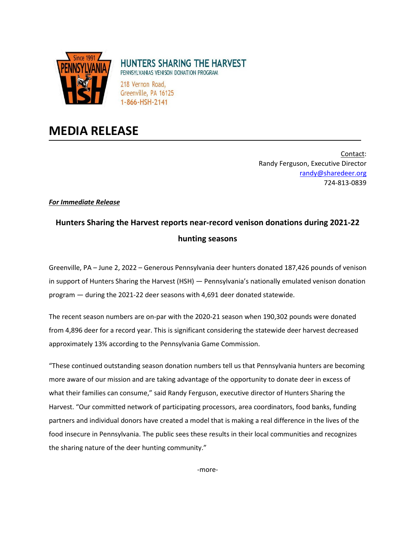

## **HUNTERS SHARING THE HARVEST**

PENNSYLVANIAS VENISON DONATION PROGRAM

218 Vernon Road, Greenville, PA 16125 1-866-HSH-2141

## **MEDIA RELEASE**

Contact: Randy Ferguson, Executive Director [randy@sharedeer.org](mailto:randy@sharedeer.org) 724-813-0839

*For Immediate Release*

## **Hunters Sharing the Harvest reports near-record venison donations during 2021-22 hunting seasons**

Greenville, PA – June 2, 2022 – Generous Pennsylvania deer hunters donated 187,426 pounds of venison in support of Hunters Sharing the Harvest (HSH) — Pennsylvania's nationally emulated venison donation program — during the 2021-22 deer seasons with 4,691 deer donated statewide.

The recent season numbers are on-par with the 2020-21 season when 190,302 pounds were donated from 4,896 deer for a record year. This is significant considering the statewide deer harvest decreased approximately 13% according to the Pennsylvania Game Commission.

"These continued outstanding season donation numbers tell us that Pennsylvania hunters are becoming more aware of our mission and are taking advantage of the opportunity to donate deer in excess of what their families can consume," said Randy Ferguson, executive director of Hunters Sharing the Harvest. "Our committed network of participating processors, area coordinators, food banks, funding partners and individual donors have created a model that is making a real difference in the lives of the food insecure in Pennsylvania. The public sees these results in their local communities and recognizes the sharing nature of the deer hunting community."

-more-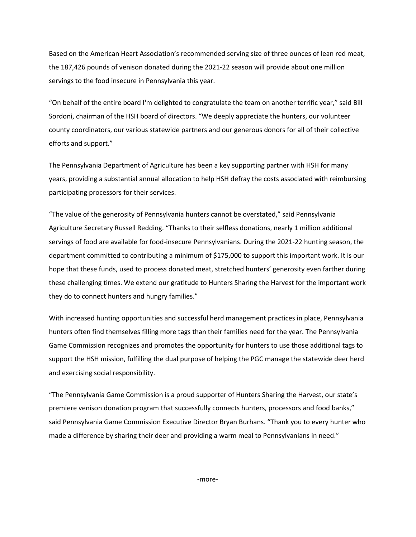Based on the American Heart Association's recommended serving size of three ounces of lean red meat, the 187,426 pounds of venison donated during the 2021-22 season will provide about one million servings to the food insecure in Pennsylvania this year.

"On behalf of the entire board I'm delighted to congratulate the team on another terrific year," said Bill Sordoni, chairman of the HSH board of directors. "We deeply appreciate the hunters, our volunteer county coordinators, our various statewide partners and our generous donors for all of their collective efforts and support."

The Pennsylvania Department of Agriculture has been a key supporting partner with HSH for many years, providing a substantial annual allocation to help HSH defray the costs associated with reimbursing participating processors for their services.

"The value of the generosity of Pennsylvania hunters cannot be overstated," said Pennsylvania Agriculture Secretary Russell Redding. "Thanks to their selfless donations, nearly 1 million additional servings of food are available for food-insecure Pennsylvanians. During the 2021-22 hunting season, the department committed to contributing a minimum of \$175,000 to support this important work. It is our hope that these funds, used to process donated meat, stretched hunters' generosity even farther during these challenging times. We extend our gratitude to Hunters Sharing the Harvest for the important work they do to connect hunters and hungry families."

With increased hunting opportunities and successful herd management practices in place, Pennsylvania hunters often find themselves filling more tags than their families need for the year. The Pennsylvania Game Commission recognizes and promotes the opportunity for hunters to use those additional tags to support the HSH mission, fulfilling the dual purpose of helping the PGC manage the statewide deer herd and exercising social responsibility.

"The Pennsylvania Game Commission is a proud supporter of Hunters Sharing the Harvest, our state's premiere venison donation program that successfully connects hunters, processors and food banks," said Pennsylvania Game Commission Executive Director Bryan Burhans. "Thank you to every hunter who made a difference by sharing their deer and providing a warm meal to Pennsylvanians in need."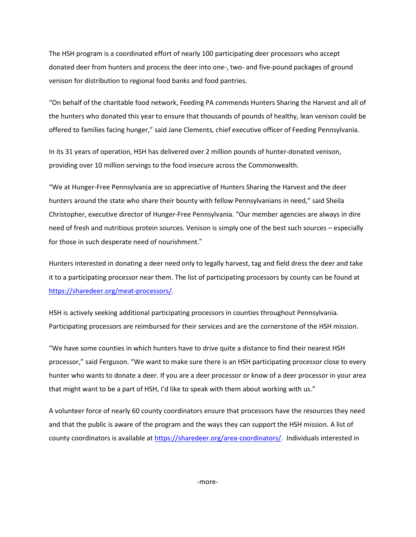The HSH program is a coordinated effort of nearly 100 participating deer processors who accept donated deer from hunters and process the deer into one-, two- and five-pound packages of ground venison for distribution to regional food banks and food pantries.

"On behalf of the charitable food network, Feeding PA commends Hunters Sharing the Harvest and all of the hunters who donated this year to ensure that thousands of pounds of healthy, lean venison could be offered to families facing hunger," said Jane Clements, chief executive officer of Feeding Pennsylvania.

In its 31 years of operation, HSH has delivered over 2 million pounds of hunter-donated venison, providing over 10 million servings to the food insecure across the Commonwealth.

"We at Hunger-Free Pennsylvania are so appreciative of Hunters Sharing the Harvest and the deer hunters around the state who share their bounty with fellow Pennsylvanians in need," said Sheila Christopher, executive director of Hunger-Free Pennsylvania. "Our member agencies are always in dire need of fresh and nutritious protein sources. Venison is simply one of the best such sources – especially for those in such desperate need of nourishment."

Hunters interested in donating a deer need only to legally harvest, tag and field dress the deer and take it to a participating processor near them. The list of participating processors by county can be found at [https://sharedeer.org/meat-processors/.](https://sharedeer.org/meat-processors/)

HSH is actively seeking additional participating processors in counties throughout Pennsylvania. Participating processors are reimbursed for their services and are the cornerstone of the HSH mission.

"We have some counties in which hunters have to drive quite a distance to find their nearest HSH processor," said Ferguson. "We want to make sure there is an HSH participating processor close to every hunter who wants to donate a deer. If you are a deer processor or know of a deer processor in your area that might want to be a part of HSH, I'd like to speak with them about working with us."

A volunteer force of nearly 60 county coordinators ensure that processors have the resources they need and that the public is aware of the program and the ways they can support the HSH mission. A list of county coordinators is available a[t https://sharedeer.org/area-coordinators/.](https://sharedeer.org/area-coordinators/) Individuals interested in